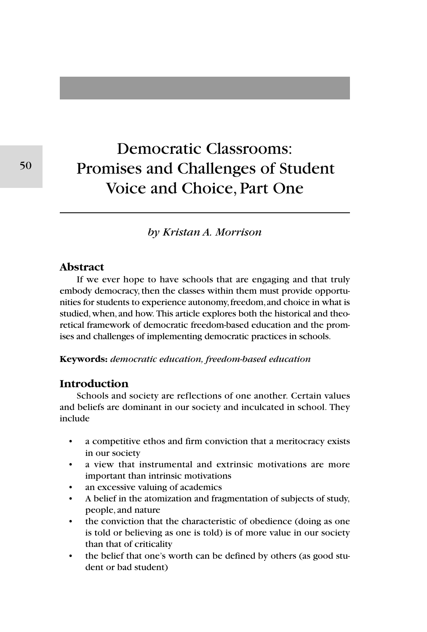# Democratic Classrooms: Promises and Challenges of Student Voice and Choice, Part One

# *by Kristan A. Morrison*

# **Abstract**

If we ever hope to have schools that are engaging and that truly embody democracy, then the classes within them must provide opportunities for students to experience autonomy, freedom, and choice in what is studied, when, and how. This article explores both the historical and theoretical framework of democratic freedom-based education and the promises and challenges of implementing democratic practices in schools.

### **Keywords:** *democratic education, freedom-based education*

## **Introduction**

Schools and society are reflections of one another. Certain values and beliefs are dominant in our society and inculcated in school. They include

- a competitive ethos and firm conviction that a meritocracy exists in our society
- a view that instrumental and extrinsic motivations are more important than intrinsic motivations
- an excessive valuing of academics
- A belief in the atomization and fragmentation of subjects of study, people, and nature
- the conviction that the characteristic of obedience (doing as one is told or believing as one is told) is of more value in our society than that of criticality
- the belief that one's worth can be defined by others (as good student or bad student)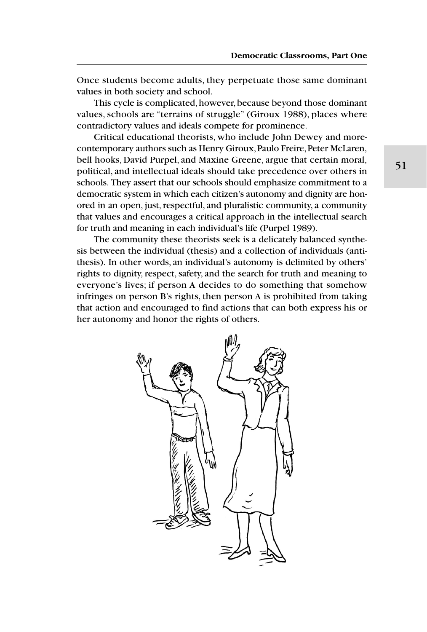Once students become adults, they perpetuate those same dominant values in both society and school.

This cycle is complicated, however, because beyond those dominant values, schools are "terrains of struggle" (Giroux 1988), places where contradictory values and ideals compete for prominence.

Critical educational theorists, who include John Dewey and morecontemporary authors such as Henry Giroux, Paulo Freire, Peter McLaren, bell hooks, David Purpel, and Maxine Greene, argue that certain moral, political, and intellectual ideals should take precedence over others in schools. They assert that our schools should emphasize commitment to a democratic system in which each citizen's autonomy and dignity are honored in an open, just, respectful, and pluralistic community, a community that values and encourages a critical approach in the intellectual search for truth and meaning in each individual's life (Purpel 1989).

The community these theorists seek is a delicately balanced synthesis between the individual (thesis) and a collection of individuals (antithesis). In other words, an individual's autonomy is delimited by others' rights to dignity, respect, safety, and the search for truth and meaning to everyone's lives; if person A decides to do something that somehow infringes on person B's rights, then person A is prohibited from taking that action and encouraged to find actions that can both express his or her autonomy and honor the rights of others.

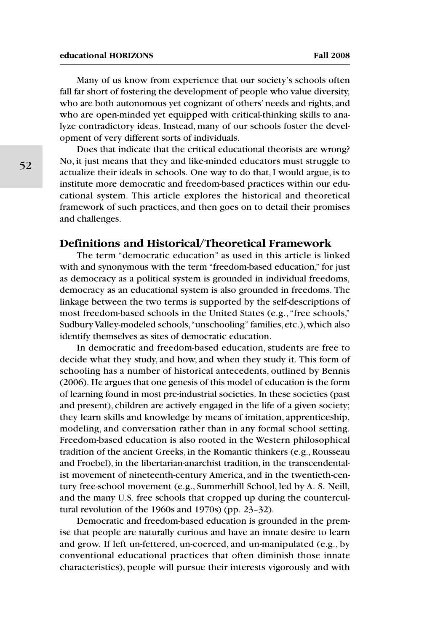Many of us know from experience that our society's schools often fall far short of fostering the development of people who value diversity, who are both autonomous yet cognizant of others' needs and rights, and who are open-minded yet equipped with critical-thinking skills to analyze contradictory ideas. Instead, many of our schools foster the development of very different sorts of individuals.

Does that indicate that the critical educational theorists are wrong? No, it just means that they and like-minded educators must struggle to actualize their ideals in schools. One way to do that, I would argue, is to institute more democratic and freedom-based practices within our educational system. This article explores the historical and theoretical framework of such practices, and then goes on to detail their promises and challenges.

# **Definitions and Historical/Theoretical Framework**

The term "democratic education" as used in this article is linked with and synonymous with the term "freedom-based education," for just as democracy as a political system is grounded in individual freedoms, democracy as an educational system is also grounded in freedoms. The linkage between the two terms is supported by the self-descriptions of most freedom-based schools in the United States (e.g., "free schools," Sudbury Valley-modeled schools, "unschooling" families, etc.), which also identify themselves as sites of democratic education.

In democratic and freedom-based education, students are free to decide what they study, and how, and when they study it. This form of schooling has a number of historical antecedents, outlined by Bennis (2006). He argues that one genesis of this model of education is the form of learning found in most pre-industrial societies. In these societies (past and present), children are actively engaged in the life of a given society; they learn skills and knowledge by means of imitation, apprenticeship, modeling, and conversation rather than in any formal school setting. Freedom-based education is also rooted in the Western philosophical tradition of the ancient Greeks, in the Romantic thinkers (e.g., Rousseau and Froebel), in the libertarian-anarchist tradition, in the transcendentalist movement of nineteenth-century America, and in the twentieth-century free-school movement (e.g., Summerhill School, led by A. S. Neill, and the many U.S. free schools that cropped up during the countercultural revolution of the 1960s and 1970s) (pp. 23–32).

Democratic and freedom-based education is grounded in the premise that people are naturally curious and have an innate desire to learn and grow. If left un-fettered, un-coerced, and un-manipulated (e.g., by conventional educational practices that often diminish those innate characteristics), people will pursue their interests vigorously and with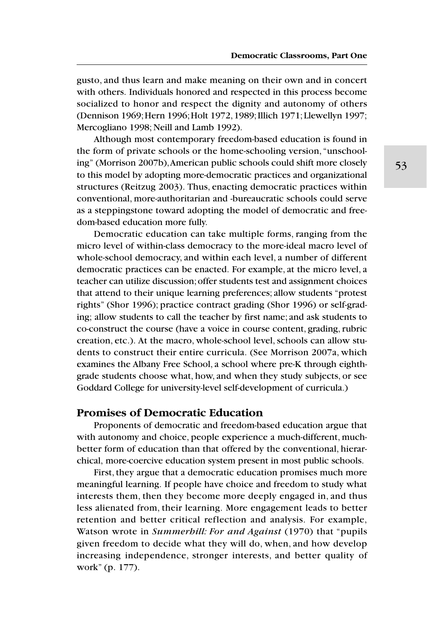gusto, and thus learn and make meaning on their own and in concert with others. Individuals honored and respected in this process become socialized to honor and respect the dignity and autonomy of others (Dennison 1969; Hern 1996; Holt 1972, 1989; Illich 1971; Llewellyn 1997; Mercogliano 1998; Neill and Lamb 1992).

Although most contemporary freedom-based education is found in the form of private schools or the home-schooling version, "unschooling" (Morrison 2007b), American public schools could shift more closely to this model by adopting more-democratic practices and organizational structures (Reitzug 2003). Thus, enacting democratic practices within conventional, more-authoritarian and -bureaucratic schools could serve as a steppingstone toward adopting the model of democratic and freedom-based education more fully.

Democratic education can take multiple forms, ranging from the micro level of within-class democracy to the more-ideal macro level of whole-school democracy, and within each level, a number of different democratic practices can be enacted. For example, at the micro level, a teacher can utilize discussion; offer students test and assignment choices that attend to their unique learning preferences; allow students "protest rights" (Shor 1996); practice contract grading (Shor 1996) or self-grading; allow students to call the teacher by first name; and ask students to co-construct the course (have a voice in course content, grading, rubric creation, etc.). At the macro, whole-school level, schools can allow students to construct their entire curricula. (See Morrison 2007a, which examines the Albany Free School, a school where pre-K through eighthgrade students choose what, how, and when they study subjects, or see Goddard College for university-level self-development of curricula.)

# **Promises of Democratic Education**

Proponents of democratic and freedom-based education argue that with autonomy and choice, people experience a much-different, muchbetter form of education than that offered by the conventional, hierarchical, more-coercive education system present in most public schools.

First, they argue that a democratic education promises much more meaningful learning. If people have choice and freedom to study what interests them, then they become more deeply engaged in, and thus less alienated from, their learning. More engagement leads to better retention and better critical reflection and analysis. For example, Watson wrote in *Summerhill: For and Against* (1970) that "pupils given freedom to decide what they will do, when, and how develop increasing independence, stronger interests, and better quality of work" (p. 177).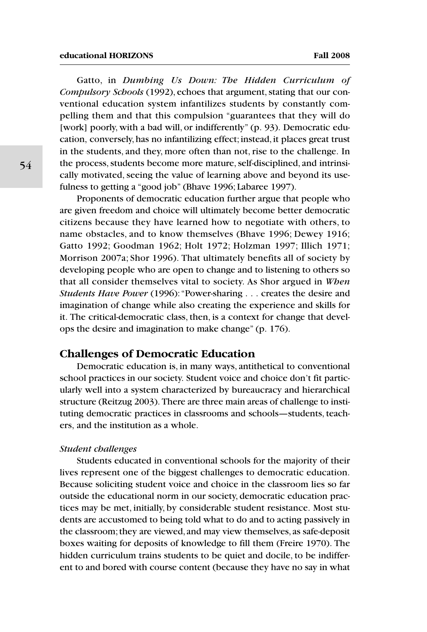#### **educational HORIZONS Fall 2008**

Gatto, in *Dumbing Us Down: The Hidden Curriculum of Compulsory Schools* (1992), echoes that argument, stating that our conventional education system infantilizes students by constantly compelling them and that this compulsion "guarantees that they will do [work] poorly, with a bad will, or indifferently" (p. 93). Democratic education, conversely, has no infantilizing effect; instead, it places great trust in the students, and they, more often than not, rise to the challenge. In the process, students become more mature, self-disciplined, and intrinsically motivated, seeing the value of learning above and beyond its usefulness to getting a "good job" (Bhave 1996; Labaree 1997).

Proponents of democratic education further argue that people who are given freedom and choice will ultimately become better democratic citizens because they have learned how to negotiate with others, to name obstacles, and to know themselves (Bhave 1996; Dewey 1916; Gatto 1992; Goodman 1962; Holt 1972; Holzman 1997; Illich 1971; Morrison 2007a; Shor 1996). That ultimately benefits all of society by developing people who are open to change and to listening to others so that all consider themselves vital to society. As Shor argued in *When Students Have Power* (1996): "Power-sharing . . . creates the desire and imagination of change while also creating the experience and skills for it. The critical-democratic class, then, is a context for change that develops the desire and imagination to make change" (p. 176).

## **Challenges of Democratic Education**

Democratic education is, in many ways, antithetical to conventional school practices in our society. Student voice and choice don't fit particularly well into a system characterized by bureaucracy and hierarchical structure (Reitzug 2003). There are three main areas of challenge to instituting democratic practices in classrooms and schools—students, teachers, and the institution as a whole.

#### *Student challenges*

Students educated in conventional schools for the majority of their lives represent one of the biggest challenges to democratic education. Because soliciting student voice and choice in the classroom lies so far outside the educational norm in our society, democratic education practices may be met, initially, by considerable student resistance. Most students are accustomed to being told what to do and to acting passively in the classroom; they are viewed, and may view themselves, as safe-deposit boxes waiting for deposits of knowledge to fill them (Freire 1970). The hidden curriculum trains students to be quiet and docile, to be indifferent to and bored with course content (because they have no say in what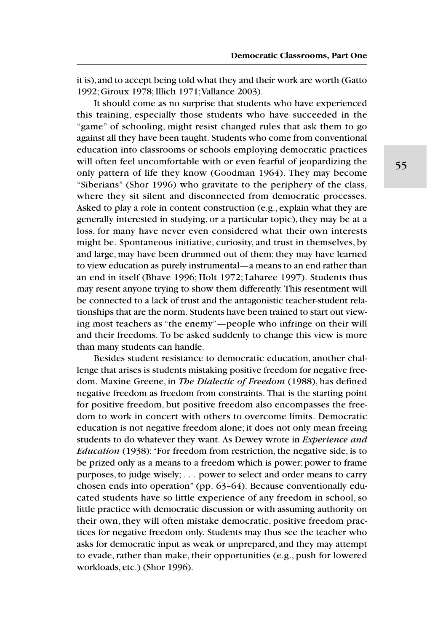it is), and to accept being told what they and their work are worth (Gatto 1992; Giroux 1978; Illich 1971; Vallance 2003).

It should come as no surprise that students who have experienced this training, especially those students who have succeeded in the "game" of schooling, might resist changed rules that ask them to go against all they have been taught. Students who come from conventional education into classrooms or schools employing democratic practices will often feel uncomfortable with or even fearful of jeopardizing the only pattern of life they know (Goodman 1964). They may become "Siberians" (Shor 1996) who gravitate to the periphery of the class, where they sit silent and disconnected from democratic processes. Asked to play a role in content construction (e.g., explain what they are generally interested in studying, or a particular topic), they may be at a loss, for many have never even considered what their own interests might be. Spontaneous initiative, curiosity, and trust in themselves, by and large, may have been drummed out of them; they may have learned to view education as purely instrumental—a means to an end rather than an end in itself (Bhave 1996; Holt 1972; Labaree 1997). Students thus may resent anyone trying to show them differently. This resentment will be connected to a lack of trust and the antagonistic teacher-student relationships that are the norm. Students have been trained to start out viewing most teachers as "the enemy"—people who infringe on their will and their freedoms. To be asked suddenly to change this view is more than many students can handle.

Besides student resistance to democratic education, another challenge that arises is students mistaking positive freedom for negative freedom. Maxine Greene, in *The Dialectic of Freedom* (1988), has defined negative freedom as freedom from constraints. That is the starting point for positive freedom, but positive freedom also encompasses the freedom to work in concert with others to overcome limits. Democratic education is not negative freedom alone; it does not only mean freeing students to do whatever they want. As Dewey wrote in *Experience and Education* (1938): "For freedom from restriction, the negative side, is to be prized only as a means to a freedom which is power: power to frame purposes, to judge wisely; . . . power to select and order means to carry chosen ends into operation" (pp. 63–64). Because conventionally educated students have so little experience of any freedom in school, so little practice with democratic discussion or with assuming authority on their own, they will often mistake democratic, positive freedom practices for negative freedom only. Students may thus see the teacher who asks for democratic input as weak or unprepared, and they may attempt to evade, rather than make, their opportunities (e.g., push for lowered workloads, etc.) (Shor 1996).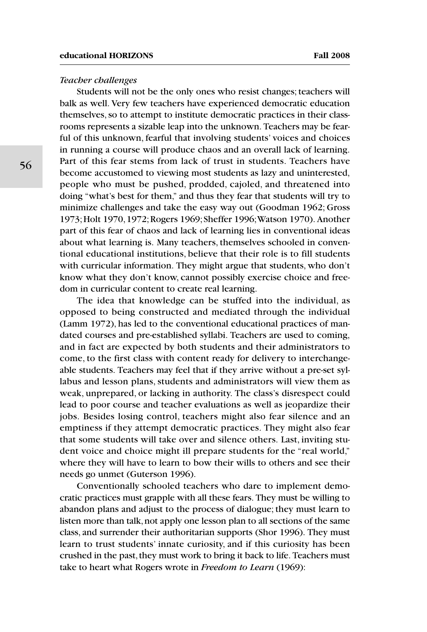#### *Teacher challenges*

Students will not be the only ones who resist changes; teachers will balk as well. Very few teachers have experienced democratic education themselves, so to attempt to institute democratic practices in their classrooms represents a sizable leap into the unknown. Teachers may be fearful of this unknown, fearful that involving students' voices and choices in running a course will produce chaos and an overall lack of learning. Part of this fear stems from lack of trust in students. Teachers have become accustomed to viewing most students as lazy and uninterested, people who must be pushed, prodded, cajoled, and threatened into doing "what's best for them," and thus they fear that students will try to minimize challenges and take the easy way out (Goodman 1962; Gross 1973; Holt 1970, 1972; Rogers 1969; Sheffer 1996; Watson 1970). Another part of this fear of chaos and lack of learning lies in conventional ideas about what learning is. Many teachers, themselves schooled in conventional educational institutions, believe that their role is to fill students with curricular information. They might argue that students, who don't know what they don't know, cannot possibly exercise choice and freedom in curricular content to create real learning.

The idea that knowledge can be stuffed into the individual, as opposed to being constructed and mediated through the individual (Lamm 1972), has led to the conventional educational practices of mandated courses and pre-established syllabi. Teachers are used to coming, and in fact are expected by both students and their administrators to come, to the first class with content ready for delivery to interchangeable students. Teachers may feel that if they arrive without a pre-set syllabus and lesson plans, students and administrators will view them as weak, unprepared, or lacking in authority. The class's disrespect could lead to poor course and teacher evaluations as well as jeopardize their jobs. Besides losing control, teachers might also fear silence and an emptiness if they attempt democratic practices. They might also fear that some students will take over and silence others. Last, inviting student voice and choice might ill prepare students for the "real world," where they will have to learn to bow their wills to others and see their needs go unmet (Guterson 1996).

Conventionally schooled teachers who dare to implement democratic practices must grapple with all these fears. They must be willing to abandon plans and adjust to the process of dialogue; they must learn to listen more than talk, not apply one lesson plan to all sections of the same class, and surrender their authoritarian supports (Shor 1996). They must learn to trust students' innate curiosity, and if this curiosity has been crushed in the past, they must work to bring it back to life. Teachers must take to heart what Rogers wrote in *Freedom to Learn* (1969):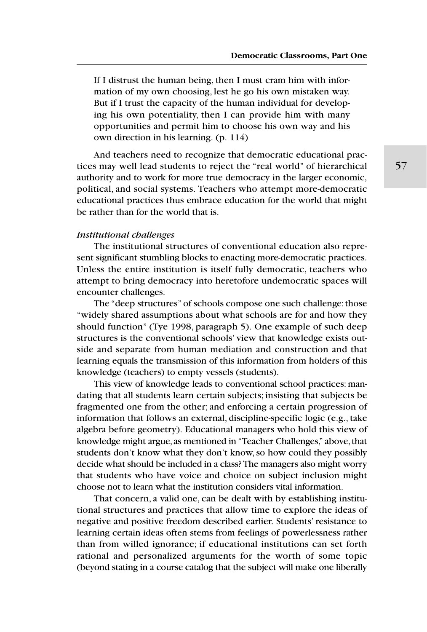If I distrust the human being, then I must cram him with information of my own choosing, lest he go his own mistaken way. But if I trust the capacity of the human individual for developing his own potentiality, then I can provide him with many opportunities and permit him to choose his own way and his own direction in his learning. (p. 114)

And teachers need to recognize that democratic educational practices may well lead students to reject the "real world" of hierarchical authority and to work for more true democracy in the larger economic, political, and social systems. Teachers who attempt more-democratic educational practices thus embrace education for the world that might be rather than for the world that is.

## *Institutional challenges*

The institutional structures of conventional education also represent significant stumbling blocks to enacting more-democratic practices. Unless the entire institution is itself fully democratic, teachers who attempt to bring democracy into heretofore undemocratic spaces will encounter challenges.

The "deep structures" of schools compose one such challenge: those "widely shared assumptions about what schools are for and how they should function" (Tye 1998, paragraph 5). One example of such deep structures is the conventional schools' view that knowledge exists outside and separate from human mediation and construction and that learning equals the transmission of this information from holders of this knowledge (teachers) to empty vessels (students).

This view of knowledge leads to conventional school practices: mandating that all students learn certain subjects; insisting that subjects be fragmented one from the other; and enforcing a certain progression of information that follows an external, discipline-specific logic (e.g., take algebra before geometry). Educational managers who hold this view of knowledge might argue, as mentioned in "Teacher Challenges," above, that students don't know what they don't know, so how could they possibly decide what should be included in a class? The managers also might worry that students who have voice and choice on subject inclusion might choose not to learn what the institution considers vital information.

That concern, a valid one, can be dealt with by establishing institutional structures and practices that allow time to explore the ideas of negative and positive freedom described earlier. Students' resistance to learning certain ideas often stems from feelings of powerlessness rather than from willed ignorance; if educational institutions can set forth rational and personalized arguments for the worth of some topic (beyond stating in a course catalog that the subject will make one liberally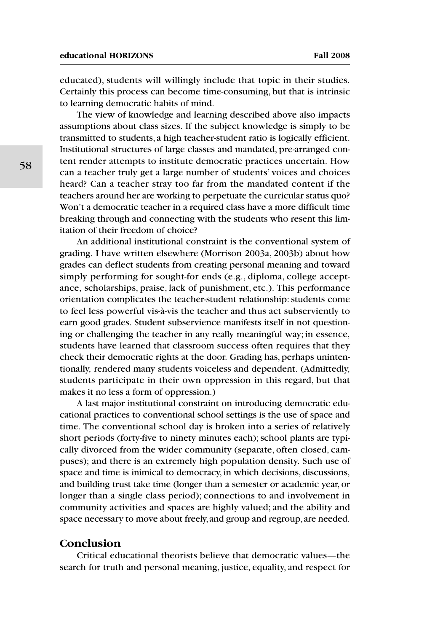educated), students will willingly include that topic in their studies. Certainly this process can become time-consuming, but that is intrinsic to learning democratic habits of mind.

The view of knowledge and learning described above also impacts assumptions about class sizes. If the subject knowledge is simply to be transmitted to students, a high teacher-student ratio is logically efficient. Institutional structures of large classes and mandated, pre-arranged content render attempts to institute democratic practices uncertain. How can a teacher truly get a large number of students' voices and choices heard? Can a teacher stray too far from the mandated content if the teachers around her are working to perpetuate the curricular status quo? Won't a democratic teacher in a required class have a more difficult time breaking through and connecting with the students who resent this limitation of their freedom of choice?

An additional institutional constraint is the conventional system of grading. I have written elsewhere (Morrison 2003a, 2003b) about how grades can deflect students from creating personal meaning and toward simply performing for sought-for ends (e.g., diploma, college acceptance, scholarships, praise, lack of punishment, etc.). This performance orientation complicates the teacher-student relationship: students come to feel less powerful vis-à-vis the teacher and thus act subserviently to earn good grades. Student subservience manifests itself in not questioning or challenging the teacher in any really meaningful way; in essence, students have learned that classroom success often requires that they check their democratic rights at the door. Grading has, perhaps unintentionally, rendered many students voiceless and dependent. (Admittedly, students participate in their own oppression in this regard, but that makes it no less a form of oppression.)

A last major institutional constraint on introducing democratic educational practices to conventional school settings is the use of space and time. The conventional school day is broken into a series of relatively short periods (forty-five to ninety minutes each); school plants are typically divorced from the wider community (separate, often closed, campuses); and there is an extremely high population density. Such use of space and time is inimical to democracy, in which decisions, discussions, and building trust take time (longer than a semester or academic year, or longer than a single class period); connections to and involvement in community activities and spaces are highly valued; and the ability and space necessary to move about freely, and group and regroup, are needed.

# **Conclusion**

Critical educational theorists believe that democratic values—the search for truth and personal meaning, justice, equality, and respect for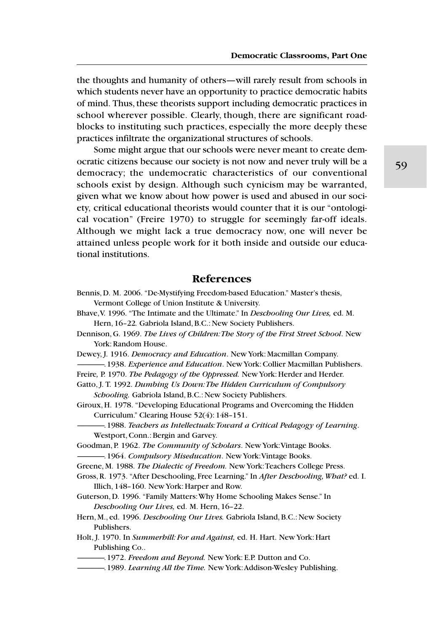the thoughts and humanity of others—will rarely result from schools in which students never have an opportunity to practice democratic habits of mind. Thus, these theorists support including democratic practices in school wherever possible. Clearly, though, there are significant roadblocks to instituting such practices, especially the more deeply these practices infiltrate the organizational structures of schools.

Some might argue that our schools were never meant to create democratic citizens because our society is not now and never truly will be a democracy; the undemocratic characteristics of our conventional schools exist by design. Although such cynicism may be warranted, given what we know about how power is used and abused in our society, critical educational theorists would counter that it is our "ontological vocation" (Freire 1970) to struggle for seemingly far-off ideals. Although we might lack a true democracy now, one will never be attained unless people work for it both inside and outside our educational institutions.

# **References**

- Bennis, D. M. 2006. "De-Mystifying Freedom-based Education." Master's thesis, Vermont College of Union Institute & University.
- Bhave, V. 1996. "The Intimate and the Ultimate." In *Deschooling Our Lives,* ed. M. Hern, 16–22*.* Gabriola Island, B.C.: New Society Publishers.
- Dennison, G. 1969. *The Lives of Children: The Story of the First Street School*. New York: Random House.
- Dewey, J. 1916. *Democracy and Education*. New York: Macmillan Company.
- ————.1938. *Experience and Education*. New York: Collier Macmillan Publishers.
- Freire*,* P. 1970. *The Pedagogy of the Oppressed.* New York: Herder and Herder.
- Gatto, J. T. 1992. *Dumbing Us Down: The Hidden Curriculum of Compulsory Schooling.* Gabriola Island, B.C.: New Society Publishers.
- Giroux, H. 1978. "Developing Educational Programs and Overcoming the Hidden Curriculum." Clearing House 52(4): 148–151.
	- ————.1988. *Teachers as Intellectuals: Toward a Critical Pedagogy of Learning*. Westport, Conn.: Bergin and Garvey.
- Goodman, P. 1962. *The Community of Scholars*. New York: Vintage Books. ————.1964. *Compulsory Miseducation*. New York: Vintage Books.
- Greene, M. 1988. *The Dialectic of Freedom.* New York: Teachers College Press.
- Gross, R. 1973. "After Deschooling, Free Learning." In *After Deschooling, What?* ed. I. Illich, 148–160. New York: Harper and Row.
- Guterson, D. 1996. "Family Matters: Why Home Schooling Makes Sense." In *Deschooling Our Lives,* ed. M. Hern, 16–22.
- Hern, M., ed. 1996. *Deschooling Our Lives.* Gabriola Island, B.C.: New Society Publishers.
- Holt, J. 1970. In *Summerhill: For and Against,* ed. H. Hart. New York: Hart Publishing Co..
	- ————.1972. *Freedom and Beyond.* New York: E.P. Dutton and Co.
	- ————.1989. *Learning All the Time.* New York: Addison-Wesley Publishing.